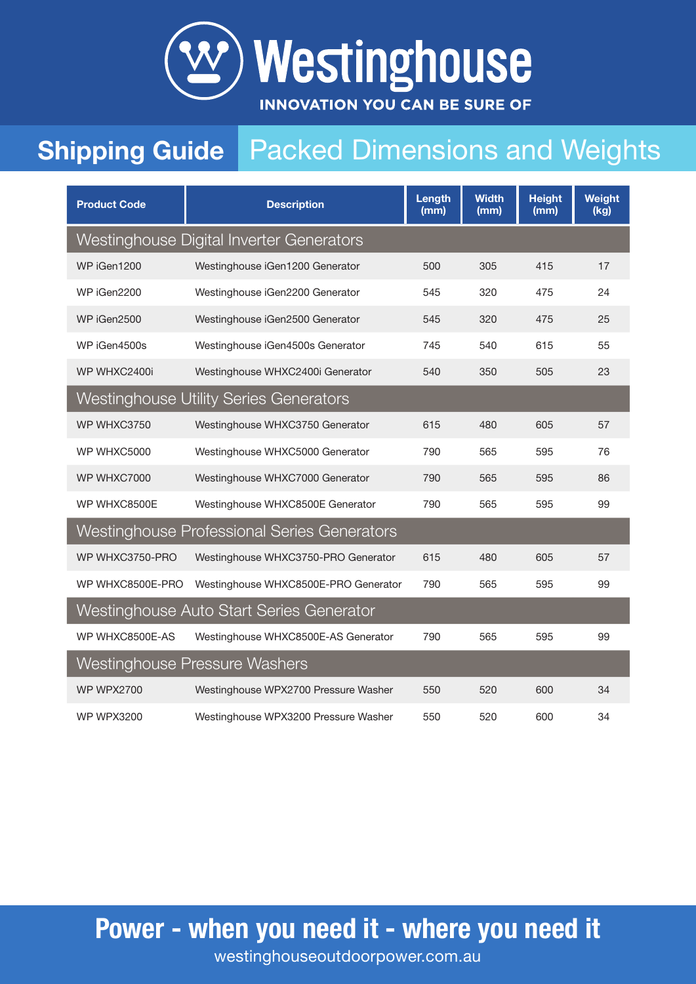

## **Shipping Guide** Packed Dimensions and Weights

| <b>Product Code</b>                      | <b>Description</b>                            | Length<br>(mm) | <b>Width</b><br>(mm) | <b>Height</b><br>(mm) | Weight<br>(kg) |  |
|------------------------------------------|-----------------------------------------------|----------------|----------------------|-----------------------|----------------|--|
| Westinghouse Digital Inverter Generators |                                               |                |                      |                       |                |  |
| WP iGen1200                              | Westinghouse iGen1200 Generator               | 500            | 305                  | 415                   | 17             |  |
| WP iGen2200                              | Westinghouse iGen2200 Generator               | 545            | 320                  | 475                   | 24             |  |
| WP iGen2500                              | Westinghouse iGen2500 Generator               | 545            | 320                  | 475                   | 25             |  |
| WP iGen4500s                             | Westinghouse iGen4500s Generator              | 745            | 540                  | 615                   | 55             |  |
| WP WHXC2400i                             | Westinghouse WHXC2400i Generator              | 540            | 350                  | 505                   | 23             |  |
|                                          | <b>Westinghouse Utility Series Generators</b> |                |                      |                       |                |  |
| WP WHXC3750                              | Westinghouse WHXC3750 Generator               | 615            | 480                  | 605                   | 57             |  |
| WP WHXC5000                              | Westinghouse WHXC5000 Generator               | 790            | 565                  | 595                   | 76             |  |
| WP WHXC7000                              | Westinghouse WHXC7000 Generator               | 790            | 565                  | 595                   | 86             |  |
| WP WHXC8500E                             | Westinghouse WHXC8500E Generator              | 790            | 565                  | 595                   | 99             |  |
|                                          | Westinghouse Professional Series Generators   |                |                      |                       |                |  |
| WP WHXC3750-PRO                          | Westinghouse WHXC3750-PRO Generator           | 615            | 480                  | 605                   | 57             |  |
| WP WHXC8500E-PRO                         | Westinghouse WHXC8500E-PRO Generator          | 790            | 565                  | 595                   | 99             |  |
| Westinghouse Auto Start Series Generator |                                               |                |                      |                       |                |  |
| WP WHXC8500E-AS                          | Westinghouse WHXC8500E-AS Generator           | 790            | 565                  | 595                   | 99             |  |
| Westinghouse Pressure Washers            |                                               |                |                      |                       |                |  |
| <b>WP WPX2700</b>                        | Westinghouse WPX2700 Pressure Washer          | 550            | 520                  | 600                   | 34             |  |
| <b>WP WPX3200</b>                        | Westinghouse WPX3200 Pressure Washer          | 550            | 520                  | 600                   | 34             |  |

Power - when you need it - where you need it

westinghouseoutdoorpower.com.au